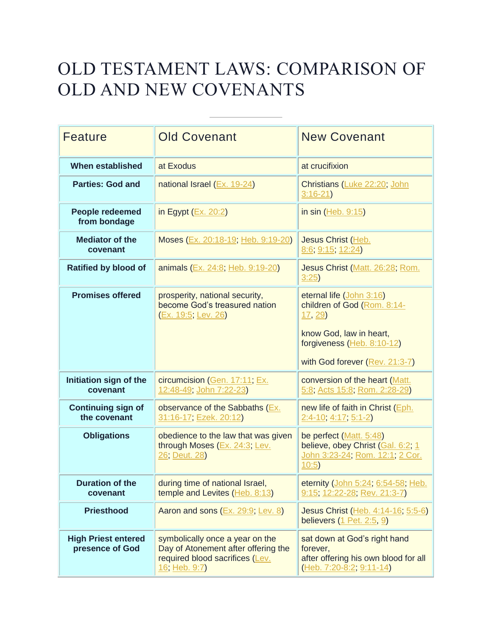## OLD TESTAMENT LAWS: COMPARISON OF OLD AND NEW COVENANTS

| <b>Feature</b>                                | <b>Old Covenant</b>                                                                                                        | <b>New Covenant</b>                                                                                                        |
|-----------------------------------------------|----------------------------------------------------------------------------------------------------------------------------|----------------------------------------------------------------------------------------------------------------------------|
| When established                              | at Exodus                                                                                                                  | at crucifixion                                                                                                             |
| <b>Parties: God and</b>                       | national Israel (Ex. 19-24)                                                                                                | Christians (Luke 22:20; John<br>$3:16-21$                                                                                  |
| People redeemed<br>from bondage               | in Egypt $(Ex. 20:2)$                                                                                                      | in sin (Heb. 9:15)                                                                                                         |
| <b>Mediator of the</b><br>covenant            | Moses (Ex. 20:18-19; Heb. 9:19-20)                                                                                         | Jesus Christ (Heb.<br>8:6, 9:15, 12:24)                                                                                    |
| <b>Ratified by blood of</b>                   | animals (Ex. 24:8; Heb. 9:19-20)                                                                                           | Jesus Christ (Matt. 26:28; Rom.<br>3:25                                                                                    |
| <b>Promises offered</b>                       | prosperity, national security,<br>become God's treasured nation<br>(Ex. 19:5; Lev. 26)                                     | eternal life (John 3:16)<br>children of God (Rom. 8:14-<br>17, 29<br>know God, law in heart,<br>forgiveness (Heb. 8:10-12) |
|                                               |                                                                                                                            | with God forever (Rev. 21:3-7)                                                                                             |
| Initiation sign of the<br>covenant            | circumcision (Gen. 17:11; Ex.<br>12:48-49; John 7:22-23)                                                                   | conversion of the heart (Matt.<br>5:8; Acts 15:8; Rom. 2:28-29)                                                            |
| <b>Continuing sign of</b><br>the covenant     | observance of the Sabbaths (Ex.<br>31:16-17; Ezek. 20:12)                                                                  | new life of faith in Christ (Eph.<br>$2:4-10$ , $4:17$ , $5:1-2$ )                                                         |
| <b>Obligations</b>                            | obedience to the law that was given<br>through Moses (Ex. 24:3; Lev.<br>26; Deut. 28)                                      | be perfect (Matt. 5:48)<br>believe, obey Christ (Gal. 6:2; 1<br>John 3:23-24; Rom. 12:1; 2 Cor.<br>10:5)                   |
| <b>Duration of the</b><br>covenant            | during time of national Israel,<br>temple and Levites (Heb. 8:13)                                                          | eternity (John 5:24; 6:54-58; Heb.<br>9:15; 12:22-28; Rev. 21:3-7)                                                         |
| <b>Priesthood</b>                             | Aaron and sons (Ex. 29:9; Lev. 8)                                                                                          | Jesus Christ (Heb. 4:14-16; 5:5-6)<br>believers (1 Pet. 2:5, 9)                                                            |
| <b>High Priest entered</b><br>presence of God | symbolically once a year on the<br>Day of Atonement after offering the<br>required blood sacrifices (Lev.<br>16; Heb. 9:7) | sat down at God's right hand<br>forever,<br>after offering his own blood for all<br>$(Heb. 7:20-8:2, 9:11-14)$             |